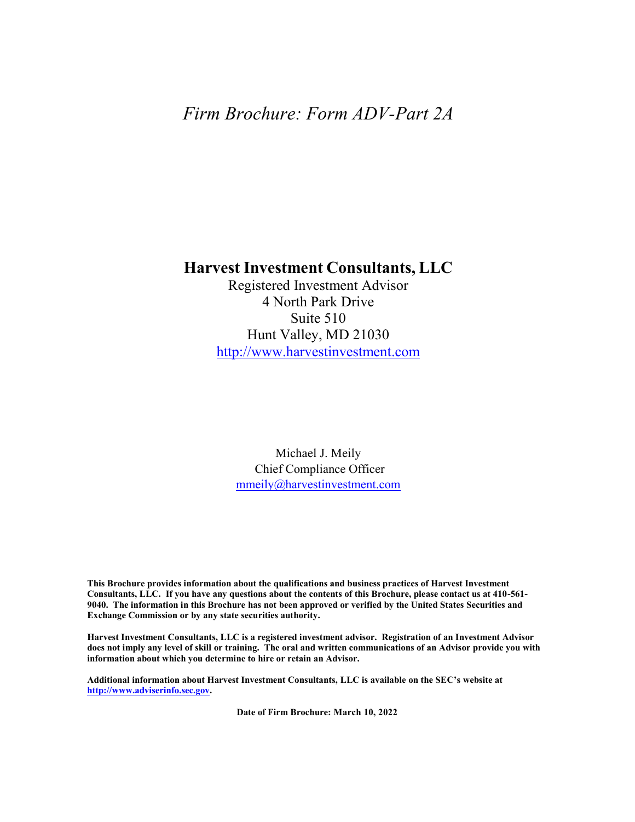# *Firm Brochure: Form ADV-Part 2A*

# **Harvest Investment Consultants, LLC**

Registered Investment Advisor 4 North Park Drive Suite 510 Hunt Valley, MD 21030 http://www.harvestinvestment.com

Michael J. Meily Chief Compliance Officer mmeily@harvestinvestment.com

**This Brochure provides information about the qualifications and business practices of Harvest Investment Consultants, LLC. If you have any questions about the contents of this Brochure, please contact us at 410-561- 9040. The information in this Brochure has not been approved or verified by the United States Securities and Exchange Commission or by any state securities authority.**

**Harvest Investment Consultants, LLC is a registered investment advisor. Registration of an Investment Advisor does not imply any level of skill or training. The oral and written communications of an Advisor provide you with information about which you determine to hire or retain an Advisor.**

**Additional information about Harvest Investment Consultants, LLC is available on the SEC's website at http://www.adviserinfo.sec.gov.**

 **Date of Firm Brochure: March 10, 2022**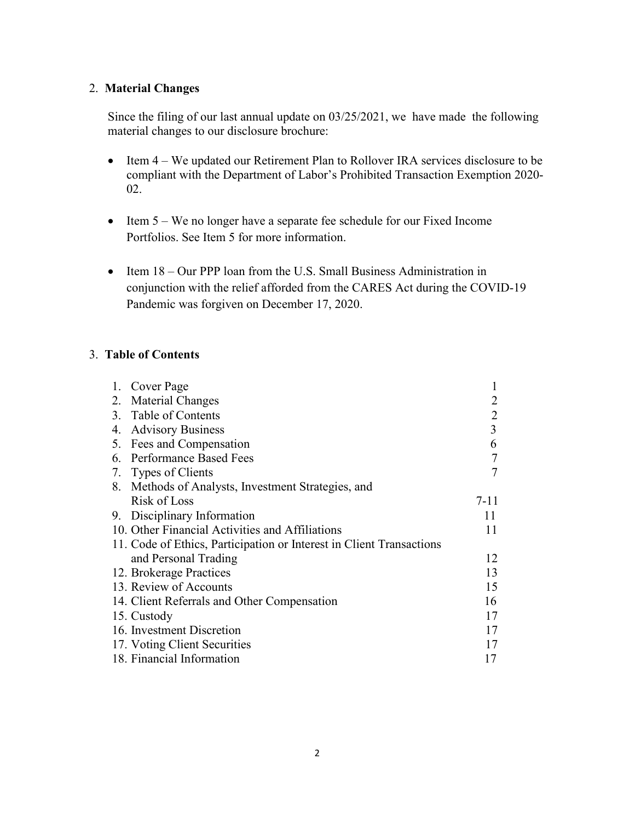# 2. **Material Changes**

Since the filing of our last annual update on 03/25/2021, we have made the following material changes to our disclosure brochure:

- Item 4 We updated our Retirement Plan to Rollover IRA services disclosure to be compliant with the Department of Labor's Prohibited Transaction Exemption 2020- 02.
- Item 5 We no longer have a separate fee schedule for our Fixed Income Portfolios. See Item 5 for more information.
- Item 18 Our PPP loan from the U.S. Small Business Administration in conjunction with the relief afforded from the CARES Act during the COVID-19 Pandemic was forgiven on December 17, 2020.

# 3. **Table of Contents**

|    | 1. Cover Page                                                        |                |
|----|----------------------------------------------------------------------|----------------|
|    | 2. Material Changes                                                  | 2              |
|    | 3. Table of Contents                                                 | $\overline{2}$ |
| 4. | <b>Advisory Business</b>                                             | 3              |
|    | 5. Fees and Compensation                                             | 6              |
|    | 6. Performance Based Fees                                            | $\overline{7}$ |
|    | 7. Types of Clients                                                  | 7              |
| 8. | Methods of Analysts, Investment Strategies, and                      |                |
|    | Risk of Loss                                                         | $7 - 11$       |
| 9. | Disciplinary Information                                             | 11             |
|    | 10. Other Financial Activities and Affiliations                      | 11             |
|    | 11. Code of Ethics, Participation or Interest in Client Transactions |                |
|    | and Personal Trading                                                 | 12             |
|    | 12. Brokerage Practices                                              | 13             |
|    | 13. Review of Accounts                                               | 15             |
|    | 14. Client Referrals and Other Compensation                          | 16             |
|    | 15. Custody                                                          | 17             |
|    | 16. Investment Discretion                                            | 17             |
|    | 17. Voting Client Securities                                         | 17             |
|    | 18. Financial Information                                            | 17             |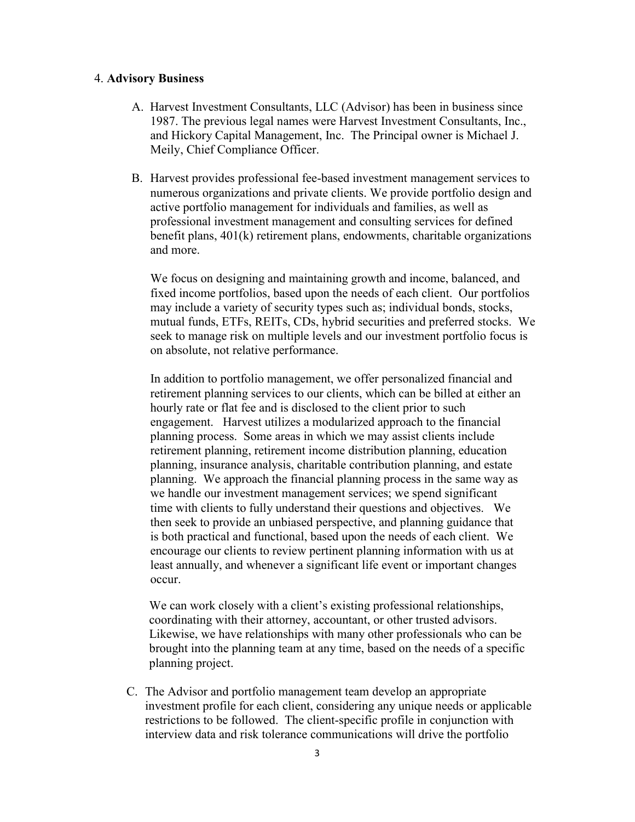#### 4. **Advisory Business**

- A. Harvest Investment Consultants, LLC (Advisor) has been in business since 1987. The previous legal names were Harvest Investment Consultants, Inc., and Hickory Capital Management, Inc. The Principal owner is Michael J. Meily, Chief Compliance Officer.
- B. Harvest provides professional fee-based investment management services to numerous organizations and private clients. We provide portfolio design and active portfolio management for individuals and families, as well as professional investment management and consulting services for defined benefit plans, 401(k) retirement plans, endowments, charitable organizations and more.

We focus on designing and maintaining growth and income, balanced, and fixed income portfolios, based upon the needs of each client. Our portfolios may include a variety of security types such as; individual bonds, stocks, mutual funds, ETFs, REITs, CDs, hybrid securities and preferred stocks. We seek to manage risk on multiple levels and our investment portfolio focus is on absolute, not relative performance.

In addition to portfolio management, we offer personalized financial and retirement planning services to our clients, which can be billed at either an hourly rate or flat fee and is disclosed to the client prior to such engagement. Harvest utilizes a modularized approach to the financial planning process. Some areas in which we may assist clients include retirement planning, retirement income distribution planning, education planning, insurance analysis, charitable contribution planning, and estate planning. We approach the financial planning process in the same way as we handle our investment management services; we spend significant time with clients to fully understand their questions and objectives. We then seek to provide an unbiased perspective, and planning guidance that is both practical and functional, based upon the needs of each client. We encourage our clients to review pertinent planning information with us at least annually, and whenever a significant life event or important changes occur.

We can work closely with a client's existing professional relationships, coordinating with their attorney, accountant, or other trusted advisors. Likewise, we have relationships with many other professionals who can be brought into the planning team at any time, based on the needs of a specific planning project.

C. The Advisor and portfolio management team develop an appropriate investment profile for each client, considering any unique needs or applicable restrictions to be followed. The client-specific profile in conjunction with interview data and risk tolerance communications will drive the portfolio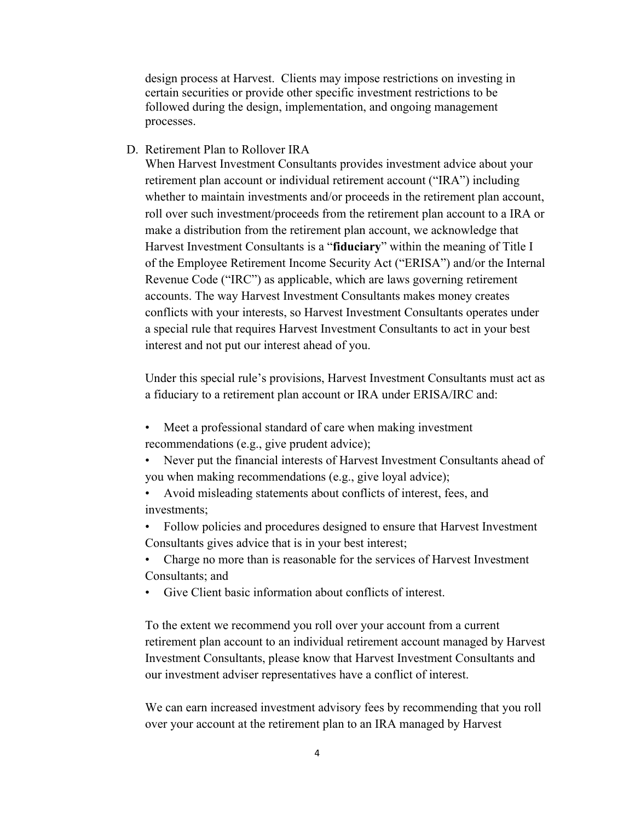design process at Harvest. Clients may impose restrictions on investing in certain securities or provide other specific investment restrictions to be followed during the design, implementation, and ongoing management processes.

### D. Retirement Plan to Rollover IRA

When Harvest Investment Consultants provides investment advice about your retirement plan account or individual retirement account ("IRA") including whether to maintain investments and/or proceeds in the retirement plan account, roll over such investment/proceeds from the retirement plan account to a IRA or make a distribution from the retirement plan account, we acknowledge that Harvest Investment Consultants is a "**fiduciary**" within the meaning of Title I of the Employee Retirement Income Security Act ("ERISA") and/or the Internal Revenue Code ("IRC") as applicable, which are laws governing retirement accounts. The way Harvest Investment Consultants makes money creates conflicts with your interests, so Harvest Investment Consultants operates under a special rule that requires Harvest Investment Consultants to act in your best interest and not put our interest ahead of you.

Under this special rule's provisions, Harvest Investment Consultants must act as a fiduciary to a retirement plan account or IRA under ERISA/IRC and:

- Meet a professional standard of care when making investment recommendations (e.g., give prudent advice);
- Never put the financial interests of Harvest Investment Consultants ahead of you when making recommendations (e.g., give loyal advice);
- Avoid misleading statements about conflicts of interest, fees, and investments;
- Follow policies and procedures designed to ensure that Harvest Investment Consultants gives advice that is in your best interest;
- Charge no more than is reasonable for the services of Harvest Investment Consultants; and
- Give Client basic information about conflicts of interest.

To the extent we recommend you roll over your account from a current retirement plan account to an individual retirement account managed by Harvest Investment Consultants, please know that Harvest Investment Consultants and our investment adviser representatives have a conflict of interest.

We can earn increased investment advisory fees by recommending that you roll over your account at the retirement plan to an IRA managed by Harvest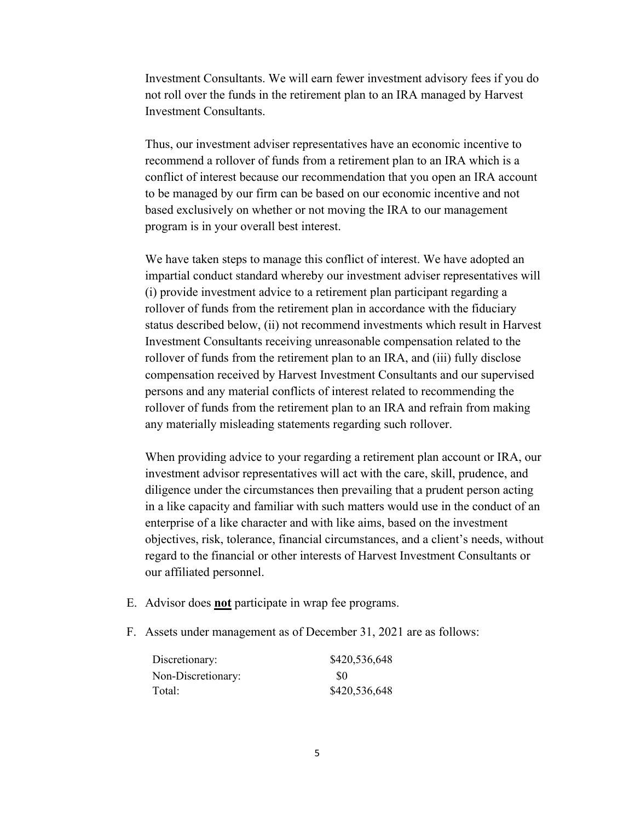Investment Consultants. We will earn fewer investment advisory fees if you do not roll over the funds in the retirement plan to an IRA managed by Harvest Investment Consultants.

Thus, our investment adviser representatives have an economic incentive to recommend a rollover of funds from a retirement plan to an IRA which is a conflict of interest because our recommendation that you open an IRA account to be managed by our firm can be based on our economic incentive and not based exclusively on whether or not moving the IRA to our management program is in your overall best interest.

We have taken steps to manage this conflict of interest. We have adopted an impartial conduct standard whereby our investment adviser representatives will (i) provide investment advice to a retirement plan participant regarding a rollover of funds from the retirement plan in accordance with the fiduciary status described below, (ii) not recommend investments which result in Harvest Investment Consultants receiving unreasonable compensation related to the rollover of funds from the retirement plan to an IRA, and (iii) fully disclose compensation received by Harvest Investment Consultants and our supervised persons and any material conflicts of interest related to recommending the rollover of funds from the retirement plan to an IRA and refrain from making any materially misleading statements regarding such rollover.

When providing advice to your regarding a retirement plan account or IRA, our investment advisor representatives will act with the care, skill, prudence, and diligence under the circumstances then prevailing that a prudent person acting in a like capacity and familiar with such matters would use in the conduct of an enterprise of a like character and with like aims, based on the investment objectives, risk, tolerance, financial circumstances, and a client's needs, without regard to the financial or other interests of Harvest Investment Consultants or our affiliated personnel.

- E. Advisor does **not** participate in wrap fee programs.
- F. Assets under management as of December 31, 2021 are as follows:

| Discretionary:     | \$420,536,648 |
|--------------------|---------------|
| Non-Discretionary: | -80           |
| Total:             | \$420,536,648 |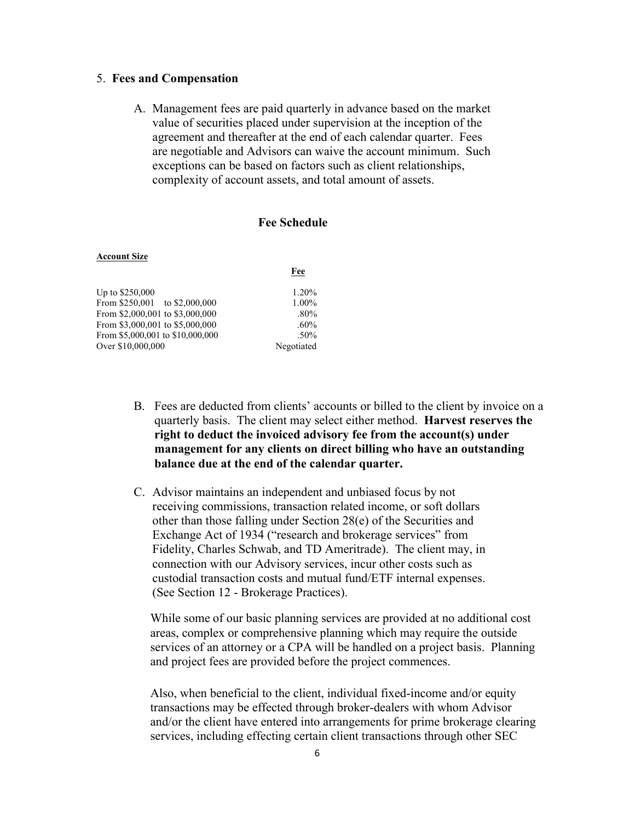### 5. **Fees and Compensation**

A. Management fees are paid quarterly in advance based on the market value of securities placed under supervision at the inception of the agreement and thereafter at the end of each calendar quarter. Fees are negotiable and Advisors can waive the account minimum. Such exceptions can be based on factors such as client relationships, complexity of account assets, and total amount of assets.

# **Fee Schedule**

**Fee**

#### **Account Size**

| Up to \$250,000                  | 1.20%      |
|----------------------------------|------------|
| From \$250,001 to \$2,000,000    | 1.00%      |
| From \$2,000,001 to \$3,000,000  | $.80\%$    |
| From \$3,000,001 to \$5,000,000  | $.60\%$    |
| From \$5,000,001 to \$10,000,000 | $.50\%$    |
| Over \$10,000,000                | Negotiated |

- B. Fees are deducted from clients' accounts or billed to the client by invoice on a quarterly basis. The client may select either method. **Harvest reserves the right to deduct the invoiced advisory fee from the account(s) under management for any clients on direct billing who have an outstanding balance due at the end of the calendar quarter.**
- C. Advisor maintains an independent and unbiased focus by not receiving commissions, transaction related income, or soft dollars other than those falling under Section 28(e) of the Securities and Exchange Act of 1934 ("research and brokerage services" from Fidelity, Charles Schwab, and TD Ameritrade). The client may, in connection with our Advisory services, incur other costs such as custodial transaction costs and mutual fund/ETF internal expenses. (See Section 12 - Brokerage Practices).

While some of our basic planning services are provided at no additional cost areas, complex or comprehensive planning which may require the outside services of an attorney or a CPA will be handled on a project basis. Planning and project fees are provided before the project commences.

Also, when beneficial to the client, individual fixed-income and/or equity transactions may be effected through broker-dealers with whom Advisor and/or the client have entered into arrangements for prime brokerage clearing services, including effecting certain client transactions through other SEC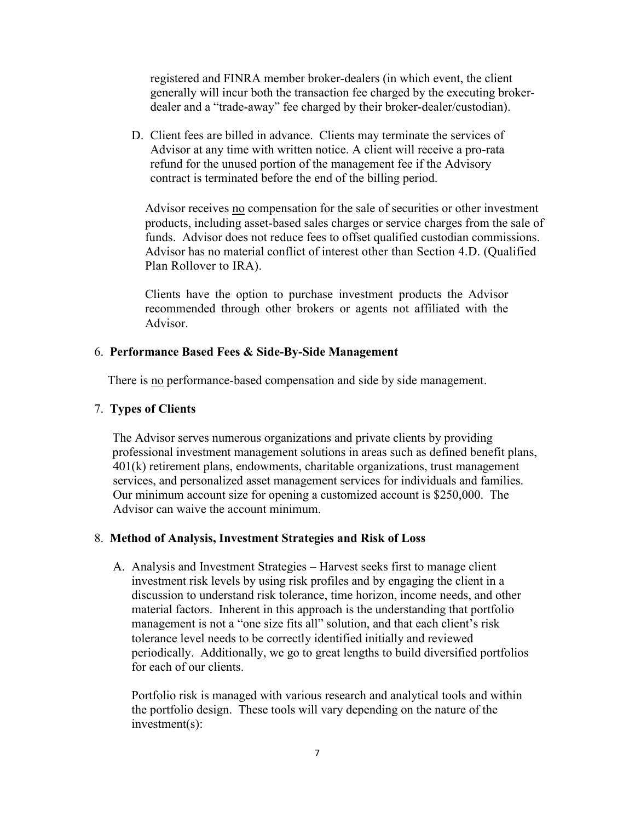registered and FINRA member broker-dealers (in which event, the client generally will incur both the transaction fee charged by the executing brokerdealer and a "trade-away" fee charged by their broker-dealer/custodian).

D. Client fees are billed in advance. Clients may terminate the services of Advisor at any time with written notice. A client will receive a pro-rata refund for the unused portion of the management fee if the Advisory contract is terminated before the end of the billing period.

Advisor receives no compensation for the sale of securities or other investment products, including asset-based sales charges or service charges from the sale of funds. Advisor does not reduce fees to offset qualified custodian commissions. Advisor has no material conflict of interest other than Section 4.D. (Qualified Plan Rollover to IRA).

Clients have the option to purchase investment products the Advisor recommended through other brokers or agents not affiliated with the Advisor.

### 6. **Performance Based Fees & Side-By-Side Management**

There is no performance-based compensation and side by side management.

### 7. **Types of Clients**

The Advisor serves numerous organizations and private clients by providing professional investment management solutions in areas such as defined benefit plans, 401(k) retirement plans, endowments, charitable organizations, trust management services, and personalized asset management services for individuals and families. Our minimum account size for opening a customized account is \$250,000. The Advisor can waive the account minimum.

### 8. **Method of Analysis, Investment Strategies and Risk of Loss**

A. Analysis and Investment Strategies – Harvest seeks first to manage client investment risk levels by using risk profiles and by engaging the client in a discussion to understand risk tolerance, time horizon, income needs, and other material factors. Inherent in this approach is the understanding that portfolio management is not a "one size fits all" solution, and that each client's risk tolerance level needs to be correctly identified initially and reviewed periodically. Additionally, we go to great lengths to build diversified portfolios for each of our clients.

Portfolio risk is managed with various research and analytical tools and within the portfolio design. These tools will vary depending on the nature of the investment(s):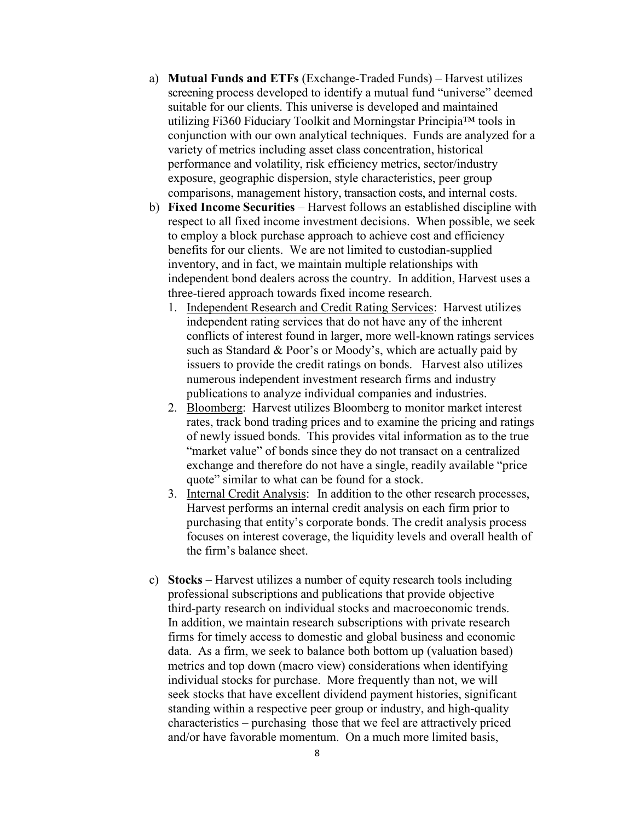- a) **Mutual Funds and ETFs** (Exchange-Traded Funds) Harvest utilizes screening process developed to identify a mutual fund "universe" deemed suitable for our clients. This universe is developed and maintained utilizing Fi360 Fiduciary Toolkit and Morningstar Principia™ tools in conjunction with our own analytical techniques. Funds are analyzed for a variety of metrics including asset class concentration, historical performance and volatility, risk efficiency metrics, sector/industry exposure, geographic dispersion, style characteristics, peer group comparisons, management history, transaction costs, and internal costs.
- b) **Fixed Income Securities** Harvest follows an established discipline with respect to all fixed income investment decisions. When possible, we seek to employ a block purchase approach to achieve cost and efficiency benefits for our clients. We are not limited to custodian-supplied inventory, and in fact, we maintain multiple relationships with independent bond dealers across the country. In addition, Harvest uses a three-tiered approach towards fixed income research.
	- 1. Independent Research and Credit Rating Services: Harvest utilizes independent rating services that do not have any of the inherent conflicts of interest found in larger, more well-known ratings services such as Standard & Poor's or Moody's, which are actually paid by issuers to provide the credit ratings on bonds. Harvest also utilizes numerous independent investment research firms and industry publications to analyze individual companies and industries.
	- 2. Bloomberg: Harvest utilizes Bloomberg to monitor market interest rates, track bond trading prices and to examine the pricing and ratings of newly issued bonds. This provides vital information as to the true "market value" of bonds since they do not transact on a centralized exchange and therefore do not have a single, readily available "price quote" similar to what can be found for a stock.
	- 3. Internal Credit Analysis: In addition to the other research processes, Harvest performs an internal credit analysis on each firm prior to purchasing that entity's corporate bonds. The credit analysis process focuses on interest coverage, the liquidity levels and overall health of the firm's balance sheet.
- c) **Stocks** Harvest utilizes a number of equity research tools including professional subscriptions and publications that provide objective third-party research on individual stocks and macroeconomic trends. In addition, we maintain research subscriptions with private research firms for timely access to domestic and global business and economic data. As a firm, we seek to balance both bottom up (valuation based) metrics and top down (macro view) considerations when identifying individual stocks for purchase. More frequently than not, we will seek stocks that have excellent dividend payment histories, significant standing within a respective peer group or industry, and high-quality characteristics – purchasing those that we feel are attractively priced and/or have favorable momentum. On a much more limited basis,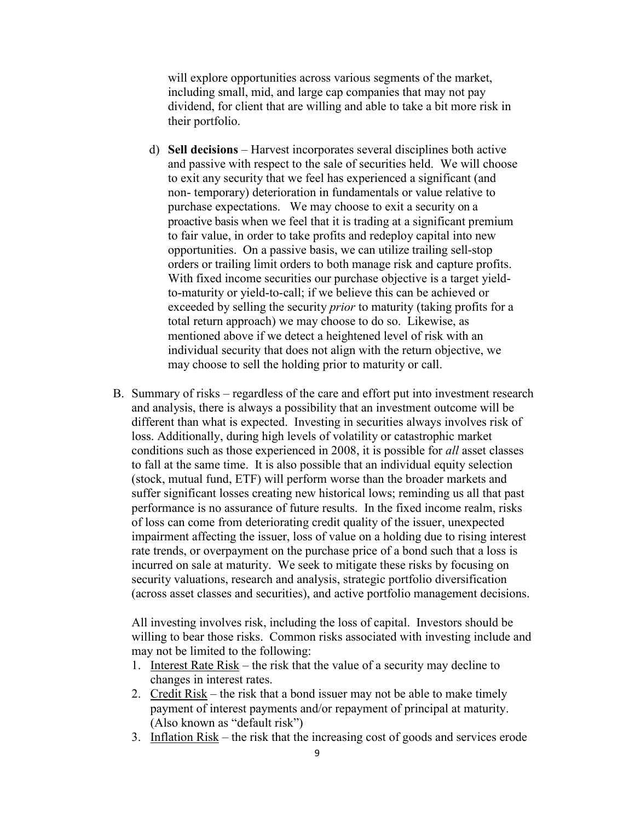will explore opportunities across various segments of the market, including small, mid, and large cap companies that may not pay dividend, for client that are willing and able to take a bit more risk in their portfolio.

- d) **Sell decisions** Harvest incorporates several disciplines both active and passive with respect to the sale of securities held. We will choose to exit any security that we feel has experienced a significant (and non- temporary) deterioration in fundamentals or value relative to purchase expectations. We may choose to exit a security on a proactive basis when we feel that it is trading at a significant premium to fair value, in order to take profits and redeploy capital into new opportunities. On a passive basis, we can utilize trailing sell-stop orders or trailing limit orders to both manage risk and capture profits. With fixed income securities our purchase objective is a target yieldto-maturity or yield-to-call; if we believe this can be achieved or exceeded by selling the security *prior* to maturity (taking profits for a total return approach) we may choose to do so. Likewise, as mentioned above if we detect a heightened level of risk with an individual security that does not align with the return objective, we may choose to sell the holding prior to maturity or call.
- B. Summary of risks regardless of the care and effort put into investment research and analysis, there is always a possibility that an investment outcome will be different than what is expected. Investing in securities always involves risk of loss. Additionally, during high levels of volatility or catastrophic market conditions such as those experienced in 2008, it is possible for *all* asset classes to fall at the same time. It is also possible that an individual equity selection (stock, mutual fund, ETF) will perform worse than the broader markets and suffer significant losses creating new historical lows; reminding us all that past performance is no assurance of future results. In the fixed income realm, risks of loss can come from deteriorating credit quality of the issuer, unexpected impairment affecting the issuer, loss of value on a holding due to rising interest rate trends, or overpayment on the purchase price of a bond such that a loss is incurred on sale at maturity. We seek to mitigate these risks by focusing on security valuations, research and analysis, strategic portfolio diversification (across asset classes and securities), and active portfolio management decisions.

All investing involves risk, including the loss of capital. Investors should be willing to bear those risks. Common risks associated with investing include and may not be limited to the following:

- 1. Interest Rate Risk the risk that the value of a security may decline to changes in interest rates.
- 2. Credit Risk the risk that a bond issuer may not be able to make timely payment of interest payments and/or repayment of principal at maturity. (Also known as "default risk")
- 3. Inflation Risk the risk that the increasing cost of goods and services erode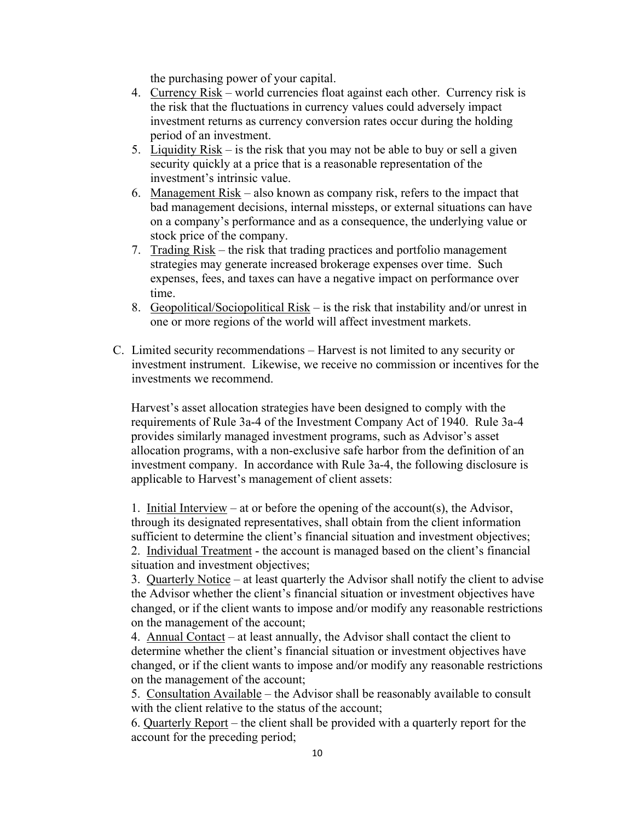the purchasing power of your capital.

- 4. Currency Risk world currencies float against each other. Currency risk is the risk that the fluctuations in currency values could adversely impact investment returns as currency conversion rates occur during the holding period of an investment.
- 5. Liquidity Risk is the risk that you may not be able to buy or sell a given security quickly at a price that is a reasonable representation of the investment's intrinsic value.
- 6. Management  $Risk also$  known as company risk, refers to the impact that bad management decisions, internal missteps, or external situations can have on a company's performance and as a consequence, the underlying value or stock price of the company.
- 7. Trading Risk the risk that trading practices and portfolio management strategies may generate increased brokerage expenses over time. Such expenses, fees, and taxes can have a negative impact on performance over time.
- 8. Geopolitical/Sociopolitical Risk is the risk that instability and/or unrest in one or more regions of the world will affect investment markets.
- C. Limited security recommendations Harvest is not limited to any security or investment instrument. Likewise, we receive no commission or incentives for the investments we recommend.

Harvest's asset allocation strategies have been designed to comply with the requirements of Rule 3a-4 of the Investment Company Act of 1940. Rule 3a-4 provides similarly managed investment programs, such as Advisor's asset allocation programs, with a non-exclusive safe harbor from the definition of an investment company. In accordance with Rule 3a-4, the following disclosure is applicable to Harvest's management of client assets:

1. Initial Interview – at or before the opening of the account(s), the Advisor, through its designated representatives, shall obtain from the client information sufficient to determine the client's financial situation and investment objectives; 2. Individual Treatment - the account is managed based on the client's financial situation and investment objectives;

3. Quarterly Notice – at least quarterly the Advisor shall notify the client to advise the Advisor whether the client's financial situation or investment objectives have changed, or if the client wants to impose and/or modify any reasonable restrictions on the management of the account;

4. Annual Contact – at least annually, the Advisor shall contact the client to determine whether the client's financial situation or investment objectives have changed, or if the client wants to impose and/or modify any reasonable restrictions on the management of the account;

5. Consultation Available – the Advisor shall be reasonably available to consult with the client relative to the status of the account;

6. Quarterly Report – the client shall be provided with a quarterly report for the account for the preceding period;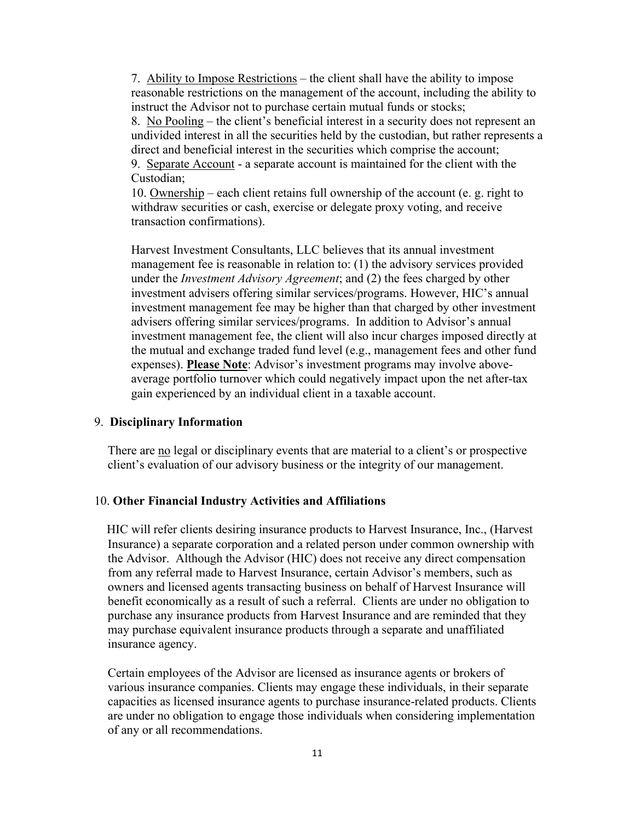7. Ability to Impose Restrictions – the client shall have the ability to impose reasonable restrictions on the management of the account, including the ability to instruct the Advisor not to purchase certain mutual funds or stocks;

8. No Pooling – the client's beneficial interest in a security does not represent an undivided interest in all the securities held by the custodian, but rather represents a direct and beneficial interest in the securities which comprise the account; 9. Separate Account - a separate account is maintained for the client with the

Custodian;

10. Ownership – each client retains full ownership of the account (e. g. right to withdraw securities or cash, exercise or delegate proxy voting, and receive transaction confirmations).

Harvest Investment Consultants, LLC believes that its annual investment management fee is reasonable in relation to: (1) the advisory services provided under the *Investment Advisory Agreement*; and (2) the fees charged by other investment advisers offering similar services/programs. However, HIC's annual investment management fee may be higher than that charged by other investment advisers offering similar services/programs. In addition to Advisor's annual investment management fee, the client will also incur charges imposed directly at the mutual and exchange traded fund level (e.g., management fees and other fund expenses). **Please Note**: Advisor's investment programs may involve aboveaverage portfolio turnover which could negatively impact upon the net after-tax gain experienced by an individual client in a taxable account.

# 9. **Disciplinary Information**

There are no legal or disciplinary events that are material to a client's or prospective client's evaluation of our advisory business or the integrity of our management.

### 10. **Other Financial Industry Activities and Affiliations**

HIC will refer clients desiring insurance products to Harvest Insurance, Inc., (Harvest Insurance) a separate corporation and a related person under common ownership with the Advisor. Although the Advisor (HIC) does not receive any direct compensation from any referral made to Harvest Insurance, certain Advisor's members, such as owners and licensed agents transacting business on behalf of Harvest Insurance will benefit economically as a result of such a referral. Clients are under no obligation to purchase any insurance products from Harvest Insurance and are reminded that they may purchase equivalent insurance products through a separate and unaffiliated insurance agency.

Certain employees of the Advisor are licensed as insurance agents or brokers of various insurance companies. Clients may engage these individuals, in their separate capacities as licensed insurance agents to purchase insurance-related products. Clients are under no obligation to engage those individuals when considering implementation of any or all recommendations.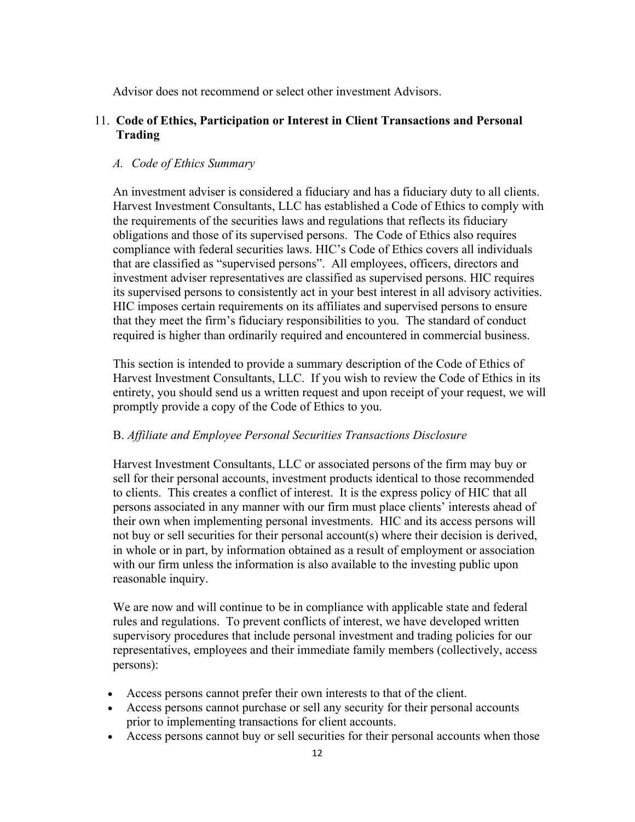Advisor does not recommend or select other investment Advisors.

# 11. **Code of Ethics, Participation or Interest in Client Transactions and Personal Trading**

# *A. Code of Ethics Summary*

An investment adviser is considered a fiduciary and has a fiduciary duty to all clients. Harvest Investment Consultants, LLC has established a Code of Ethics to comply with the requirements of the securities laws and regulations that reflects its fiduciary obligations and those of its supervised persons. The Code of Ethics also requires compliance with federal securities laws. HIC's Code of Ethics covers all individuals that are classified as "supervised persons". All employees, officers, directors and investment adviser representatives are classified as supervised persons. HIC requires its supervised persons to consistently act in your best interest in all advisory activities. HIC imposes certain requirements on its affiliates and supervised persons to ensure that they meet the firm's fiduciary responsibilities to you. The standard of conduct required is higher than ordinarily required and encountered in commercial business.

This section is intended to provide a summary description of the Code of Ethics of Harvest Investment Consultants, LLC. If you wish to review the Code of Ethics in its entirety, you should send us a written request and upon receipt of your request, we will promptly provide a copy of the Code of Ethics to you.

## B. *Affiliate and Employee Personal Securities Transactions Disclosure*

Harvest Investment Consultants, LLC or associated persons of the firm may buy or sell for their personal accounts, investment products identical to those recommended to clients. This creates a conflict of interest. It is the express policy of HIC that all persons associated in any manner with our firm must place clients' interests ahead of their own when implementing personal investments. HIC and its access persons will not buy or sell securities for their personal account(s) where their decision is derived, in whole or in part, by information obtained as a result of employment or association with our firm unless the information is also available to the investing public upon reasonable inquiry.

We are now and will continue to be in compliance with applicable state and federal rules and regulations. To prevent conflicts of interest, we have developed written supervisory procedures that include personal investment and trading policies for our representatives, employees and their immediate family members (collectively, access persons):

- Access persons cannot prefer their own interests to that of the client.
- Access persons cannot purchase or sell any security for their personal accounts prior to implementing transactions for client accounts.
- Access persons cannot buy or sell securities for their personal accounts when those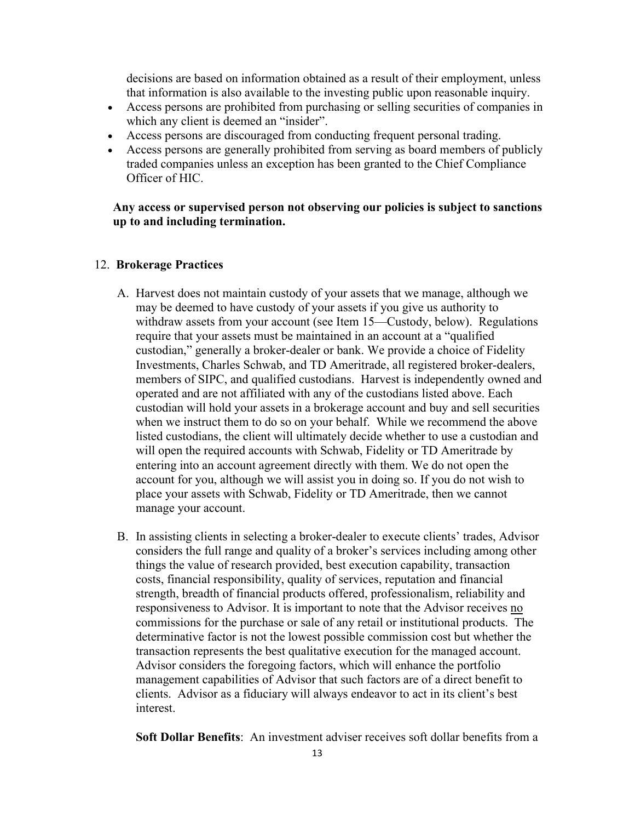decisions are based on information obtained as a result of their employment, unless that information is also available to the investing public upon reasonable inquiry.

- Access persons are prohibited from purchasing or selling securities of companies in which any client is deemed an "insider".
- Access persons are discouraged from conducting frequent personal trading.
- Access persons are generally prohibited from serving as board members of publicly traded companies unless an exception has been granted to the Chief Compliance Officer of HIC.

# **Any access or supervised person not observing our policies is subject to sanctions up to and including termination.**

# 12. **Brokerage Practices**

- A. Harvest does not maintain custody of your assets that we manage, although we may be deemed to have custody of your assets if you give us authority to withdraw assets from your account (see Item 15—Custody, below). Regulations require that your assets must be maintained in an account at a "qualified custodian," generally a broker-dealer or bank. We provide a choice of Fidelity Investments, Charles Schwab, and TD Ameritrade, all registered broker-dealers, members of SIPC, and qualified custodians. Harvest is independently owned and operated and are not affiliated with any of the custodians listed above. Each custodian will hold your assets in a brokerage account and buy and sell securities when we instruct them to do so on your behalf. While we recommend the above listed custodians, the client will ultimately decide whether to use a custodian and will open the required accounts with Schwab, Fidelity or TD Ameritrade by entering into an account agreement directly with them. We do not open the account for you, although we will assist you in doing so. If you do not wish to place your assets with Schwab, Fidelity or TD Ameritrade, then we cannot manage your account.
- B. In assisting clients in selecting a broker-dealer to execute clients' trades, Advisor considers the full range and quality of a broker's services including among other things the value of research provided, best execution capability, transaction costs, financial responsibility, quality of services, reputation and financial strength, breadth of financial products offered, professionalism, reliability and responsiveness to Advisor. It is important to note that the Advisor receives no commissions for the purchase or sale of any retail or institutional products. The determinative factor is not the lowest possible commission cost but whether the transaction represents the best qualitative execution for the managed account. Advisor considers the foregoing factors, which will enhance the portfolio management capabilities of Advisor that such factors are of a direct benefit to clients. Advisor as a fiduciary will always endeavor to act in its client's best interest.

**Soft Dollar Benefits**: An investment adviser receives soft dollar benefits from a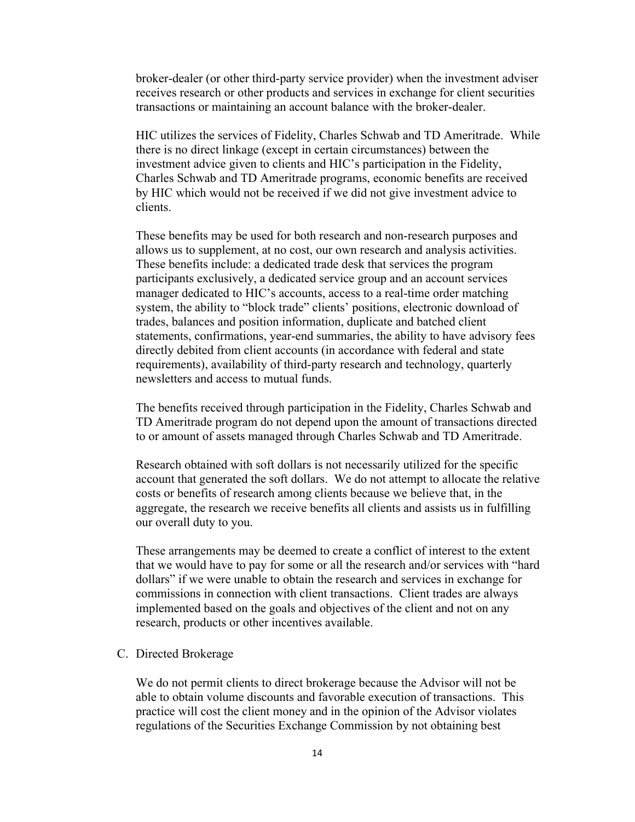broker-dealer (or other third-party service provider) when the investment adviser receives research or other products and services in exchange for client securities transactions or maintaining an account balance with the broker-dealer.

HIC utilizes the services of Fidelity, Charles Schwab and TD Ameritrade. While there is no direct linkage (except in certain circumstances) between the investment advice given to clients and HIC's participation in the Fidelity, Charles Schwab and TD Ameritrade programs, economic benefits are received by HIC which would not be received if we did not give investment advice to clients.

These benefits may be used for both research and non-research purposes and allows us to supplement, at no cost, our own research and analysis activities. These benefits include: a dedicated trade desk that services the program participants exclusively, a dedicated service group and an account services manager dedicated to HIC's accounts, access to a real-time order matching system, the ability to "block trade" clients' positions, electronic download of trades, balances and position information, duplicate and batched client statements, confirmations, year-end summaries, the ability to have advisory fees directly debited from client accounts (in accordance with federal and state requirements), availability of third-party research and technology, quarterly newsletters and access to mutual funds.

The benefits received through participation in the Fidelity, Charles Schwab and TD Ameritrade program do not depend upon the amount of transactions directed to or amount of assets managed through Charles Schwab and TD Ameritrade.

Research obtained with soft dollars is not necessarily utilized for the specific account that generated the soft dollars. We do not attempt to allocate the relative costs or benefits of research among clients because we believe that, in the aggregate, the research we receive benefits all clients and assists us in fulfilling our overall duty to you.

These arrangements may be deemed to create a conflict of interest to the extent that we would have to pay for some or all the research and/or services with "hard dollars" if we were unable to obtain the research and services in exchange for commissions in connection with client transactions. Client trades are always implemented based on the goals and objectives of the client and not on any research, products or other incentives available.

# C. Directed Brokerage

We do not permit clients to direct brokerage because the Advisor will not be able to obtain volume discounts and favorable execution of transactions. This practice will cost the client money and in the opinion of the Advisor violates regulations of the Securities Exchange Commission by not obtaining best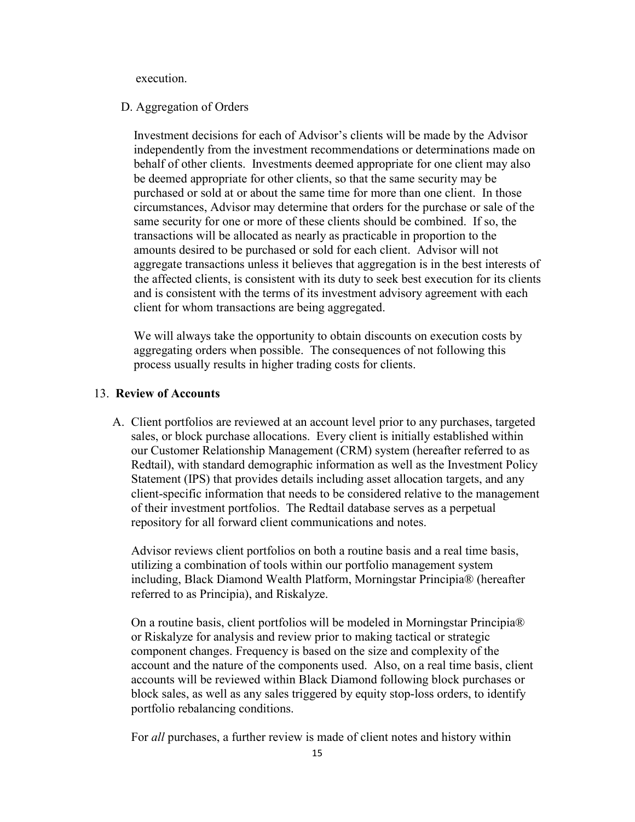execution.

#### D. Aggregation of Orders

Investment decisions for each of Advisor's clients will be made by the Advisor independently from the investment recommendations or determinations made on behalf of other clients. Investments deemed appropriate for one client may also be deemed appropriate for other clients, so that the same security may be purchased or sold at or about the same time for more than one client. In those circumstances, Advisor may determine that orders for the purchase or sale of the same security for one or more of these clients should be combined. If so, the transactions will be allocated as nearly as practicable in proportion to the amounts desired to be purchased or sold for each client. Advisor will not aggregate transactions unless it believes that aggregation is in the best interests of the affected clients, is consistent with its duty to seek best execution for its clients and is consistent with the terms of its investment advisory agreement with each client for whom transactions are being aggregated.

We will always take the opportunity to obtain discounts on execution costs by aggregating orders when possible. The consequences of not following this process usually results in higher trading costs for clients.

# 13. **Review of Accounts**

A. Client portfolios are reviewed at an account level prior to any purchases, targeted sales, or block purchase allocations. Every client is initially established within our Customer Relationship Management (CRM) system (hereafter referred to as Redtail), with standard demographic information as well as the Investment Policy Statement (IPS) that provides details including asset allocation targets, and any client-specific information that needs to be considered relative to the management of their investment portfolios. The Redtail database serves as a perpetual repository for all forward client communications and notes.

Advisor reviews client portfolios on both a routine basis and a real time basis, utilizing a combination of tools within our portfolio management system including, Black Diamond Wealth Platform, Morningstar Principia® (hereafter referred to as Principia), and Riskalyze.

On a routine basis, client portfolios will be modeled in Morningstar Principia® or Riskalyze for analysis and review prior to making tactical or strategic component changes. Frequency is based on the size and complexity of the account and the nature of the components used. Also, on a real time basis, client accounts will be reviewed within Black Diamond following block purchases or block sales, as well as any sales triggered by equity stop-loss orders, to identify portfolio rebalancing conditions.

For *all* purchases, a further review is made of client notes and history within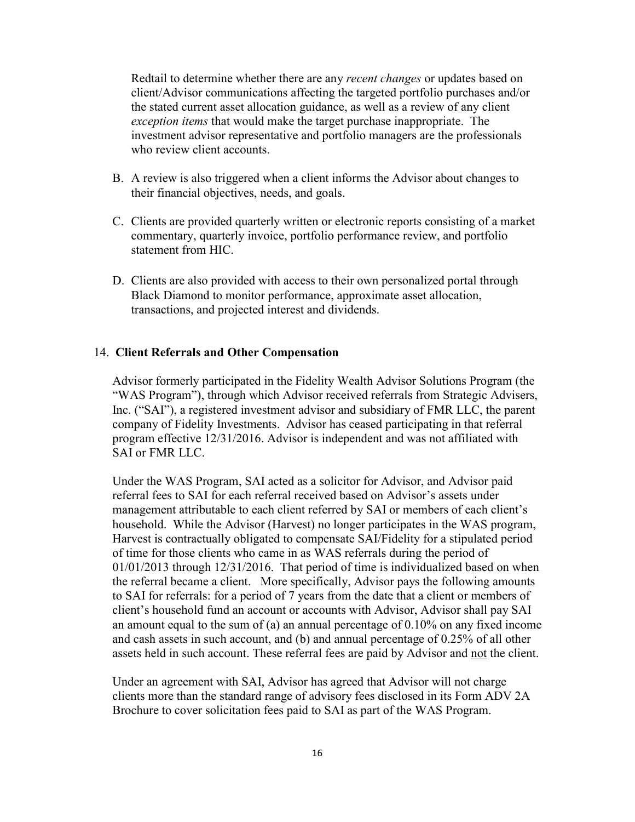Redtail to determine whether there are any *recent changes* or updates based on client/Advisor communications affecting the targeted portfolio purchases and/or the stated current asset allocation guidance, as well as a review of any client *exception items* that would make the target purchase inappropriate. The investment advisor representative and portfolio managers are the professionals who review client accounts.

- B. A review is also triggered when a client informs the Advisor about changes to their financial objectives, needs, and goals.
- C. Clients are provided quarterly written or electronic reports consisting of a market commentary, quarterly invoice, portfolio performance review, and portfolio statement from HIC.
- D. Clients are also provided with access to their own personalized portal through Black Diamond to monitor performance, approximate asset allocation, transactions, and projected interest and dividends.

### 14. **Client Referrals and Other Compensation**

Advisor formerly participated in the Fidelity Wealth Advisor Solutions Program (the "WAS Program"), through which Advisor received referrals from Strategic Advisers, Inc. ("SAI"), a registered investment advisor and subsidiary of FMR LLC, the parent company of Fidelity Investments. Advisor has ceased participating in that referral program effective 12/31/2016. Advisor is independent and was not affiliated with SAI or FMR LLC.

Under the WAS Program, SAI acted as a solicitor for Advisor, and Advisor paid referral fees to SAI for each referral received based on Advisor's assets under management attributable to each client referred by SAI or members of each client's household. While the Advisor (Harvest) no longer participates in the WAS program, Harvest is contractually obligated to compensate SAI/Fidelity for a stipulated period of time for those clients who came in as WAS referrals during the period of 01/01/2013 through 12/31/2016. That period of time is individualized based on when the referral became a client. More specifically, Advisor pays the following amounts to SAI for referrals: for a period of 7 years from the date that a client or members of client's household fund an account or accounts with Advisor, Advisor shall pay SAI an amount equal to the sum of (a) an annual percentage of 0.10% on any fixed income and cash assets in such account, and (b) and annual percentage of 0.25% of all other assets held in such account. These referral fees are paid by Advisor and not the client.

Under an agreement with SAI, Advisor has agreed that Advisor will not charge clients more than the standard range of advisory fees disclosed in its Form ADV 2A Brochure to cover solicitation fees paid to SAI as part of the WAS Program.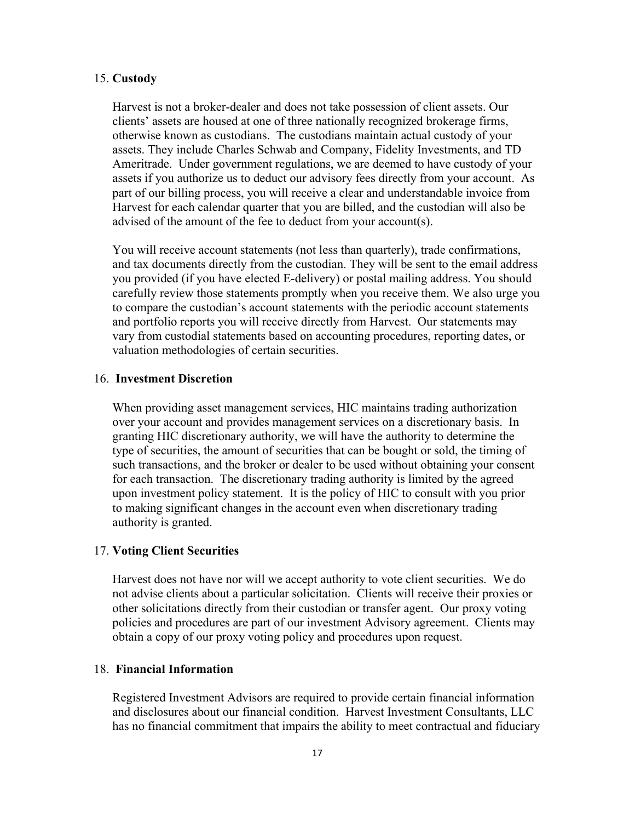### 15. **Custody**

Harvest is not a broker-dealer and does not take possession of client assets. Our clients' assets are housed at one of three nationally recognized brokerage firms, otherwise known as custodians. The custodians maintain actual custody of your assets. They include Charles Schwab and Company, Fidelity Investments, and TD Ameritrade. Under government regulations, we are deemed to have custody of your assets if you authorize us to deduct our advisory fees directly from your account. As part of our billing process, you will receive a clear and understandable invoice from Harvest for each calendar quarter that you are billed, and the custodian will also be advised of the amount of the fee to deduct from your account(s).

You will receive account statements (not less than quarterly), trade confirmations, and tax documents directly from the custodian. They will be sent to the email address you provided (if you have elected E-delivery) or postal mailing address. You should carefully review those statements promptly when you receive them. We also urge you to compare the custodian's account statements with the periodic account statements and portfolio reports you will receive directly from Harvest. Our statements may vary from custodial statements based on accounting procedures, reporting dates, or valuation methodologies of certain securities.

# 16. **Investment Discretion**

When providing asset management services, HIC maintains trading authorization over your account and provides management services on a discretionary basis. In granting HIC discretionary authority, we will have the authority to determine the type of securities, the amount of securities that can be bought or sold, the timing of such transactions, and the broker or dealer to be used without obtaining your consent for each transaction. The discretionary trading authority is limited by the agreed upon investment policy statement. It is the policy of HIC to consult with you prior to making significant changes in the account even when discretionary trading authority is granted.

### 17. **Voting Client Securities**

Harvest does not have nor will we accept authority to vote client securities. We do not advise clients about a particular solicitation. Clients will receive their proxies or other solicitations directly from their custodian or transfer agent. Our proxy voting policies and procedures are part of our investment Advisory agreement. Clients may obtain a copy of our proxy voting policy and procedures upon request.

### 18. **Financial Information**

Registered Investment Advisors are required to provide certain financial information and disclosures about our financial condition. Harvest Investment Consultants, LLC has no financial commitment that impairs the ability to meet contractual and fiduciary